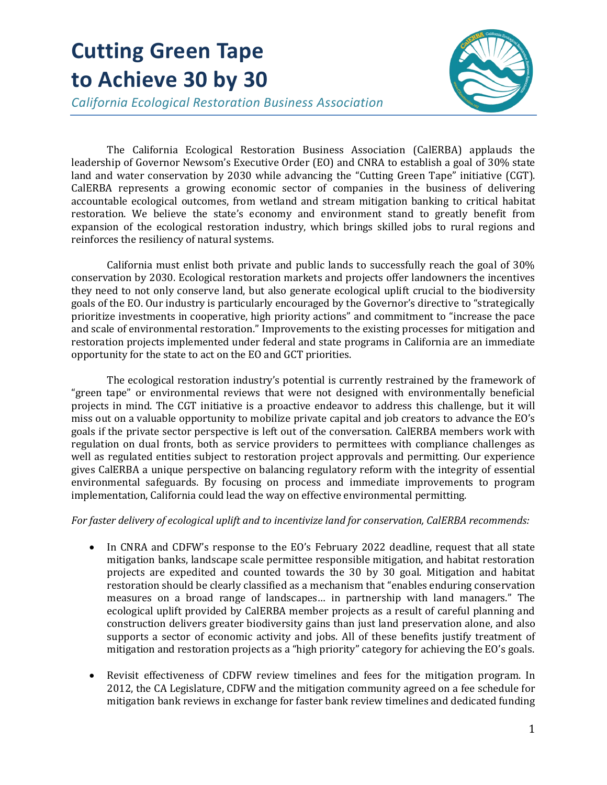## **Cutting Green Tape to Achieve 30 by 30**



*California Ecological Restoration Business Association*

The California Ecological Restoration Business Association (CalERBA) applauds the leadership of Governor Newsom's Executive Order (EO) and CNRA to establish a goal of 30% state land and water conservation by 2030 while advancing the "Cutting Green Tape" initiative (CGT). CalERBA represents a growing economic sector of companies in the business of delivering accountable ecological outcomes, from wetland and stream mitigation banking to critical habitat restoration. We believe the state's economy and environment stand to greatly benefit from expansion of the ecological restoration industry, which brings skilled jobs to rural regions and reinforces the resiliency of natural systems.

California must enlist both private and public lands to successfully reach the goal of 30% conservation by 2030. Ecological restoration markets and projects offer landowners the incentives they need to not only conserve land, but also generate ecological uplift crucial to the biodiversity goals of the EO. Our industry is particularly encouraged by the Governor's directive to "strategically prioritize investments in cooperative, high priority actions" and commitment to "increase the pace and scale of environmental restoration." Improvements to the existing processes for mitigation and restoration projects implemented under federal and state programs in California are an immediate opportunity for the state to act on the EO and GCT priorities.

The ecological restoration industry's potential is currently restrained by the framework of "green tape" or environmental reviews that were not designed with environmentally beneficial projects in mind. The CGT initiative is a proactive endeavor to address this challenge, but it will miss out on a valuable opportunity to mobilize private capital and job creators to advance the EO's goals if the private sector perspective is left out of the conversation. CalERBA members work with regulation on dual fronts, both as service providers to permittees with compliance challenges as well as regulated entities subject to restoration project approvals and permitting. Our experience gives CalERBA a unique perspective on balancing regulatory reform with the integrity of essential environmental safeguards. By focusing on process and immediate improvements to program implementation, California could lead the way on effective environmental permitting.

### *For faster delivery of ecological uplift and to incentivize land for conservation, CalERBA recommends:*

- In CNRA and CDFW's response to the EO's February 2022 deadline, request that all state mitigation banks, landscape scale permittee responsible mitigation, and habitat restoration projects are expedited and counted towards the 30 by 30 goal. Mitigation and habitat restoration should be clearly classified as a mechanism that "enables enduring conservation measures on a broad range of landscapes… in partnership with land managers." The ecological uplift provided by CalERBA member projects as a result of careful planning and construction delivers greater biodiversity gains than just land preservation alone, and also supports a sector of economic activity and jobs. All of these benefits justify treatment of mitigation and restoration projects as a "high priority" category for achieving the EO's goals.
- Revisit effectiveness of CDFW review timelines and fees for the mitigation program. In 2012, the CA Legislature, CDFW and the mitigation community agreed on a fee schedule for mitigation bank reviews in exchange for faster bank review timelines and dedicated funding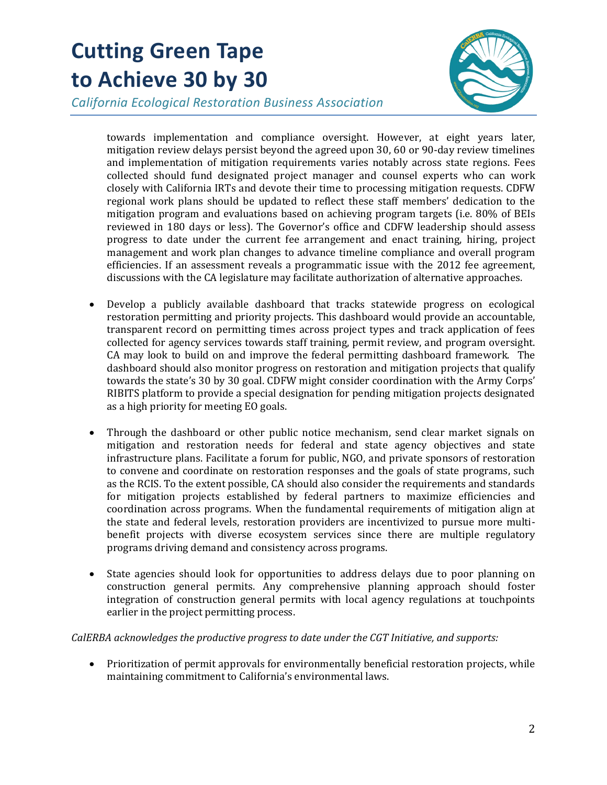## **Cutting Green Tape to Achieve 30 by 30**



*California Ecological Restoration Business Association*

towards implementation and compliance oversight. However, at eight years later, mitigation review delays persist beyond the agreed upon 30, 60 or 90-day review timelines and implementation of mitigation requirements varies notably across state regions. Fees collected should fund designated project manager and counsel experts who can work closely with California IRTs and devote their time to processing mitigation requests. CDFW regional work plans should be updated to reflect these staff members' dedication to the mitigation program and evaluations based on achieving program targets (i.e. 80% of BEIs reviewed in 180 days or less). The Governor's office and CDFW leadership should assess progress to date under the current fee arrangement and enact training, hiring, project management and work plan changes to advance timeline compliance and overall program efficiencies. If an assessment reveals a programmatic issue with the 2012 fee agreement, discussions with the CA legislature may facilitate authorization of alternative approaches.

- Develop a publicly available dashboard that tracks statewide progress on ecological restoration permitting and priority projects. This dashboard would provide an accountable, transparent record on permitting times across project types and track application of fees collected for agency services towards staff training, permit review, and program oversight. CA may look to build on and improve the federal permitting dashboard framework. The dashboard should also monitor progress on restoration and mitigation projects that qualify towards the state's 30 by 30 goal. CDFW might consider coordination with the Army Corps' RIBITS platform to provide a special designation for pending mitigation projects designated as a high priority for meeting EO goals.
- Through the dashboard or other public notice mechanism, send clear market signals on mitigation and restoration needs for federal and state agency objectives and state infrastructure plans. Facilitate a forum for public, NGO, and private sponsors of restoration to convene and coordinate on restoration responses and the goals of state programs, such as the RCIS. To the extent possible, CA should also consider the requirements and standards for mitigation projects established by federal partners to maximize efficiencies and coordination across programs. When the fundamental requirements of mitigation align at the state and federal levels, restoration providers are incentivized to pursue more multibenefit projects with diverse ecosystem services since there are multiple regulatory programs driving demand and consistency across programs.
- State agencies should look for opportunities to address delays due to poor planning on construction general permits. Any comprehensive planning approach should foster integration of construction general permits with local agency regulations at touchpoints earlier in the project permitting process.

### *CalERBA acknowledges the productive progress to date under the CGT Initiative, and supports:*

• Prioritization of permit approvals for environmentally beneficial restoration projects, while maintaining commitment to California's environmental laws.